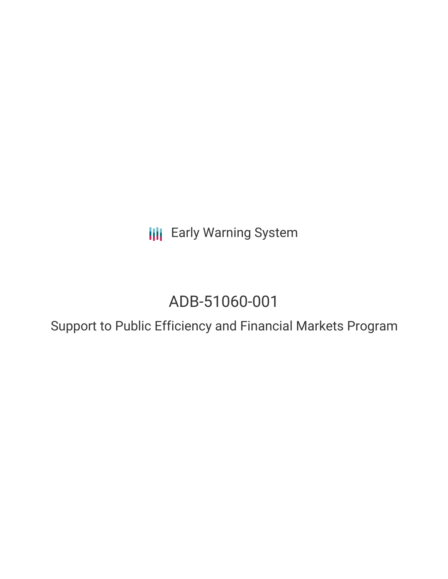**III** Early Warning System

# ADB-51060-001

Support to Public Efficiency and Financial Markets Program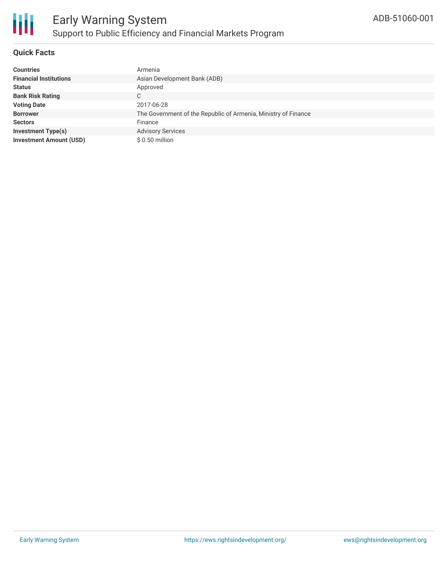

## **Quick Facts**

| <b>Countries</b>               | Armenia                                                        |
|--------------------------------|----------------------------------------------------------------|
| <b>Financial Institutions</b>  | Asian Development Bank (ADB)                                   |
| <b>Status</b>                  | Approved                                                       |
| <b>Bank Risk Rating</b>        | C                                                              |
| <b>Voting Date</b>             | 2017-06-28                                                     |
| <b>Borrower</b>                | The Government of the Republic of Armenia, Ministry of Finance |
| <b>Sectors</b>                 | Finance                                                        |
| <b>Investment Type(s)</b>      | <b>Advisory Services</b>                                       |
| <b>Investment Amount (USD)</b> | $$0.50$ million                                                |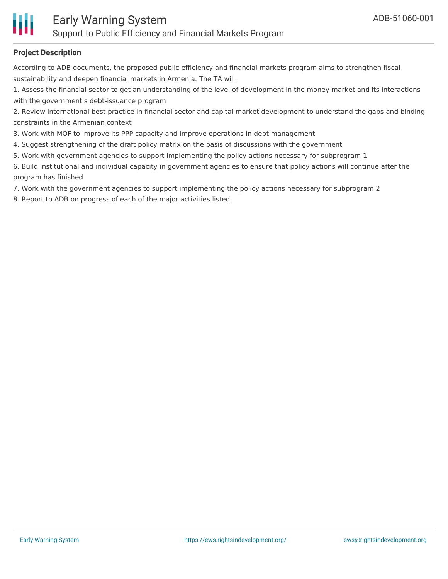

### **Project Description**

According to ADB documents, the proposed public efficiency and financial markets program aims to strengthen fiscal sustainability and deepen financial markets in Armenia. The TA will:

1. Assess the financial sector to get an understanding of the level of development in the money market and its interactions with the government's debt-issuance program

2. Review international best practice in financial sector and capital market development to understand the gaps and binding constraints in the Armenian context

3. Work with MOF to improve its PPP capacity and improve operations in debt management

- 4. Suggest strengthening of the draft policy matrix on the basis of discussions with the government
- 5. Work with government agencies to support implementing the policy actions necessary for subprogram 1

6. Build institutional and individual capacity in government agencies to ensure that policy actions will continue after the program has finished

7. Work with the government agencies to support implementing the policy actions necessary for subprogram 2

8. Report to ADB on progress of each of the major activities listed.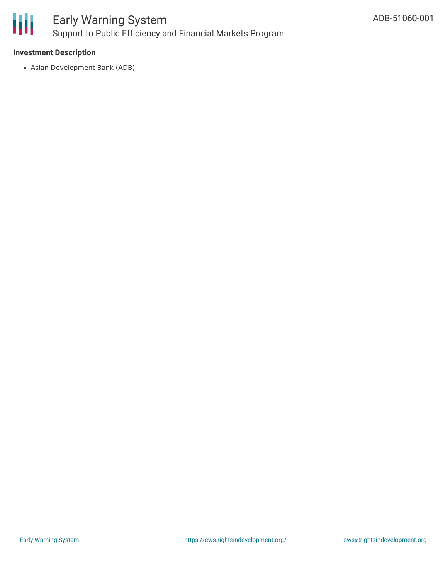

#### **Investment Description**

Asian Development Bank (ADB)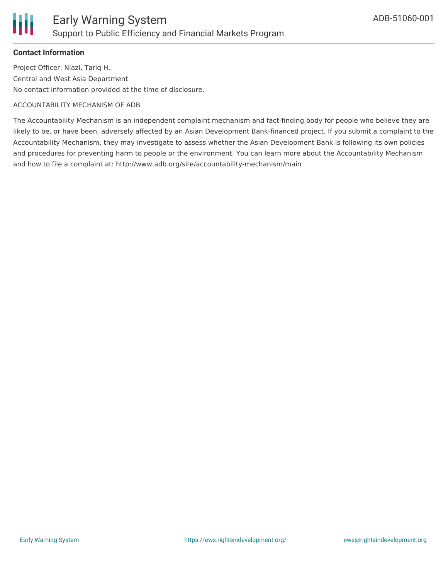

### **Contact Information**

Project Officer: Niazi, Tariq H. Central and West Asia Department No contact information provided at the time of disclosure.

#### ACCOUNTABILITY MECHANISM OF ADB

The Accountability Mechanism is an independent complaint mechanism and fact-finding body for people who believe they are likely to be, or have been, adversely affected by an Asian Development Bank-financed project. If you submit a complaint to the Accountability Mechanism, they may investigate to assess whether the Asian Development Bank is following its own policies and procedures for preventing harm to people or the environment. You can learn more about the Accountability Mechanism and how to file a complaint at: http://www.adb.org/site/accountability-mechanism/main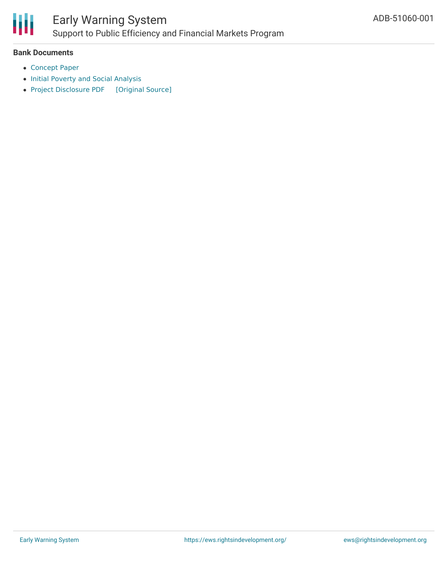

### **Bank Documents**

- [Concept](https://www.adb.org/sites/default/files/project-documents/51060/51060-002-cp-en.pdf) Paper
- Initial Poverty and Social [Analysis](https://www.adb.org/sites/default/files/project-documents/51060/51060-002-ipsa-en.pdf)
- Project [Disclosure](https://ewsdata.rightsindevelopment.org/files/documents/01/ADB-51060-001.pdf) PDF [\[Original](https://www.adb.org/printpdf/projects/51060-001/main) Source]